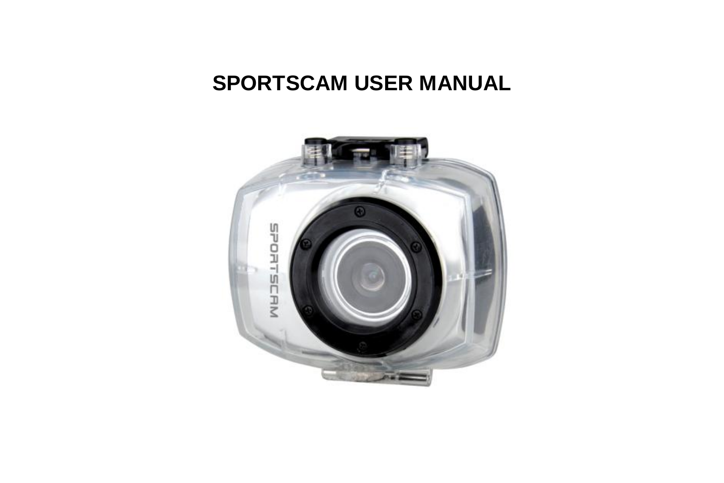# **SPORTSCAM USER MANUAL**

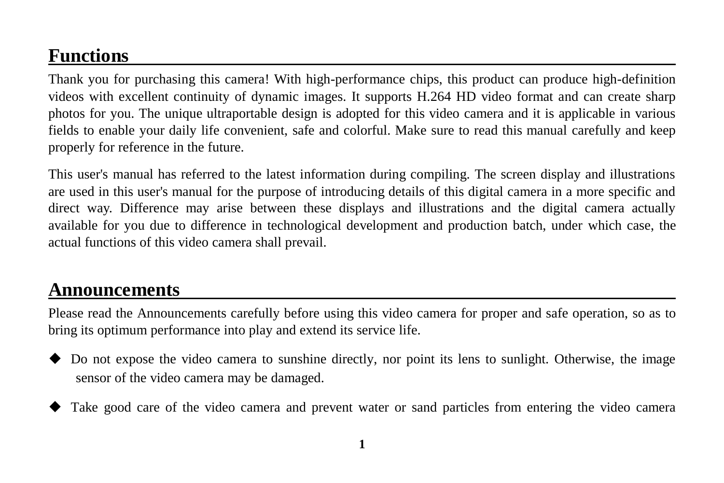## **Functions**

Thank you for purchasing this camera! With high-performance chips, this product can produce high-definition videos with excellent continuity of dynamic images. It supports H.264 HD video format and can create sharp photos for you. The unique ultraportable design is adopted for this video camera and it is applicable in various fields to enable your daily life convenient, safe and colorful. Make sure to read this manual carefully and keep properly for reference in the future.

This user's manual has referred to the latest information during compiling. The screen display and illustrations are used in this user's manual for the purpose of introducing details of this digital camera in a more specific and direct way. Difference may arise between these displays and illustrations and the digital camera actually available for you due to difference in technological development and production batch, under which case, the actual functions of this video camera shall prevail.

## **Announcements**

Please read the Announcements carefully before using this video camera for proper and safe operation, so as to bring its optimum performance into play and extend its service life.

- Do not expose the video camera to sunshine directly, nor point its lens to sunlight. Otherwise, the image sensor of the video camera may be damaged.
- Take good care of the video camera and prevent water or sand particles from entering the video camera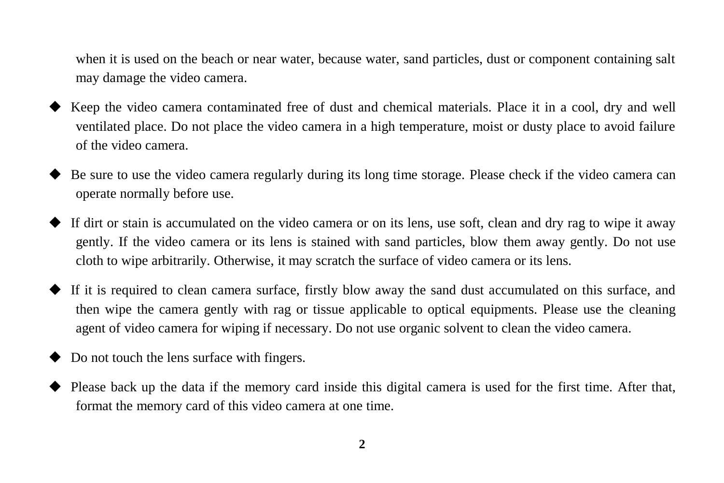when it is used on the beach or near water, because water, sand particles, dust or component containing salt may damage the video camera.

- Keep the video camera contaminated free of dust and chemical materials. Place it in a cool, dry and well ventilated place. Do not place the video camera in a high temperature, moist or dusty place to avoid failure of the video camera.
- Be sure to use the video camera regularly during its long time storage. Please check if the video camera can operate normally before use.
- If dirt or stain is accumulated on the video camera or on its lens, use soft, clean and dry rag to wipe it away gently. If the video camera or its lens is stained with sand particles, blow them away gently. Do not use cloth to wipe arbitrarily. Otherwise, it may scratch the surface of video camera or its lens.
- $\blacklozenge$  If it is required to clean camera surface, firstly blow away the sand dust accumulated on this surface, and then wipe the camera gently with rag or tissue applicable to optical equipments. Please use the cleaning agent of video camera for wiping if necessary. Do not use organic solvent to clean the video camera.
- Do not touch the lens surface with fingers.
- Please back up the data if the memory card inside this digital camera is used for the first time. After that, format the memory card of this video camera at one time.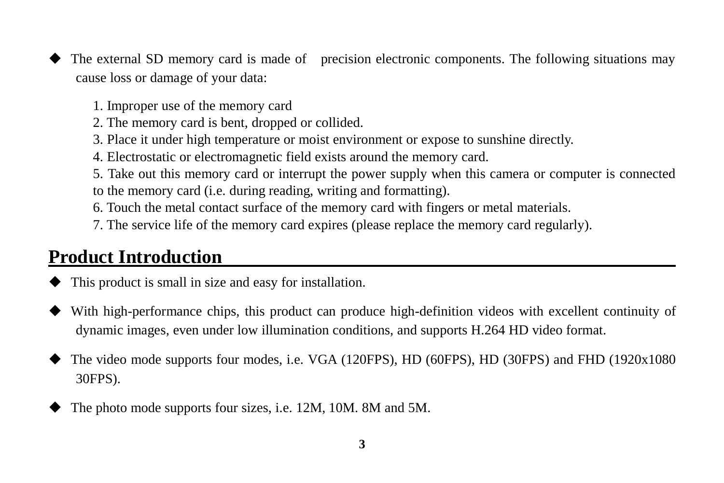- The external SD memory card is made of precision electronic components. The following situations may cause loss or damage of your data:
	- 1. Improper use of the memory card
	- 2. The memory card is bent, dropped or collided.
	- 3. Place it under high temperature or moist environment or expose to sunshine directly.
	- 4. Electrostatic or electromagnetic field exists around the memory card.
	- 5. Take out this memory card or interrupt the power supply when this camera or computer is connected to the memory card (i.e. during reading, writing and formatting).
	- 6. Touch the metal contact surface of the memory card with fingers or metal materials.
	- 7. The service life of the memory card expires (please replace the memory card regularly).

## **Product Introduction**

- This product is small in size and easy for installation.
- With high-performance chips, this product can produce high-definition videos with excellent continuity of dynamic images, even under low illumination conditions, and supports H.264 HD video format.
- The video mode supports four modes, i.e. VGA (120FPS), HD (60FPS), HD (30FPS) and FHD (1920x1080 30FPS).
- The photo mode supports four sizes, i.e. 12M, 10M. 8M and 5M.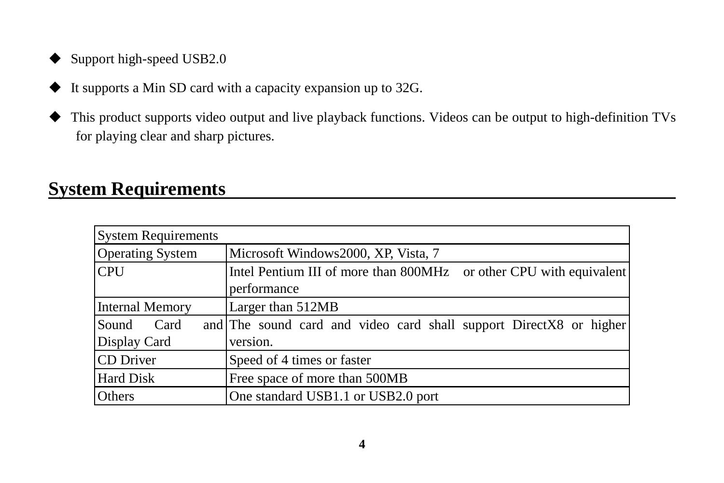- ◆ Support high-speed USB2.0
- $\blacklozenge$  It supports a Min SD card with a capacity expansion up to 32G.
- This product supports video output and live playback functions. Videos can be output to high-definition TVs for playing clear and sharp pictures.

## **System Requirements**

| <b>System Requirements</b> |                                                                    |
|----------------------------|--------------------------------------------------------------------|
| <b>Operating System</b>    | Microsoft Windows2000, XP, Vista, 7                                |
| <b>CPU</b>                 | Intel Pentium III of more than 800MHz or other CPU with equivalent |
|                            | performance                                                        |
| <b>Internal Memory</b>     | Larger than 512MB                                                  |
| Sound<br>Card              | and The sound card and video card shall support DirectX8 or higher |
| Display Card               | version.                                                           |
| CD Driver                  | Speed of 4 times or faster                                         |
| <b>Hard Disk</b>           | Free space of more than 500MB                                      |
| Others                     | One standard USB1.1 or USB2.0 port                                 |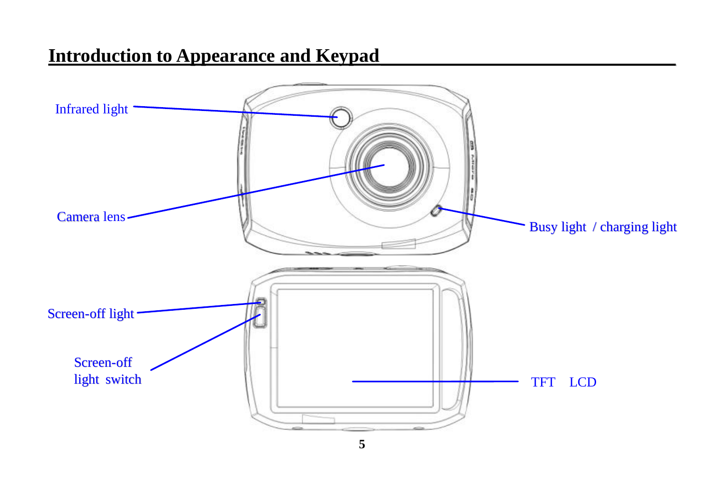## **Introduction to Appearance and Keypad**

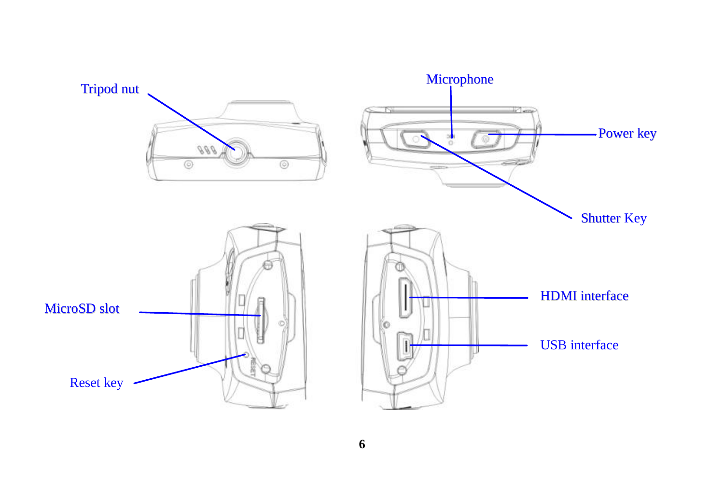

**6**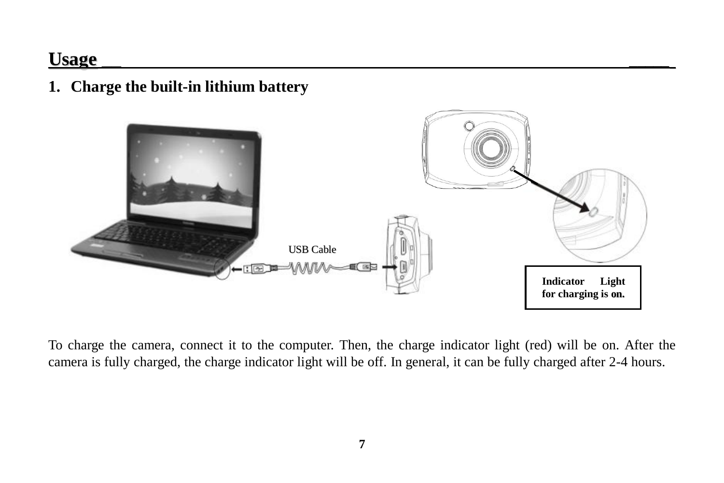## **Usage \_\_ \_\_\_\_\_**

**1. Charge the built-in lithium battery**



To charge the camera, connect it to the computer. Then, the charge indicator light (red) will be on. After the camera is fully charged, the charge indicator light will be off. In general, it can be fully charged after 2-4 hours.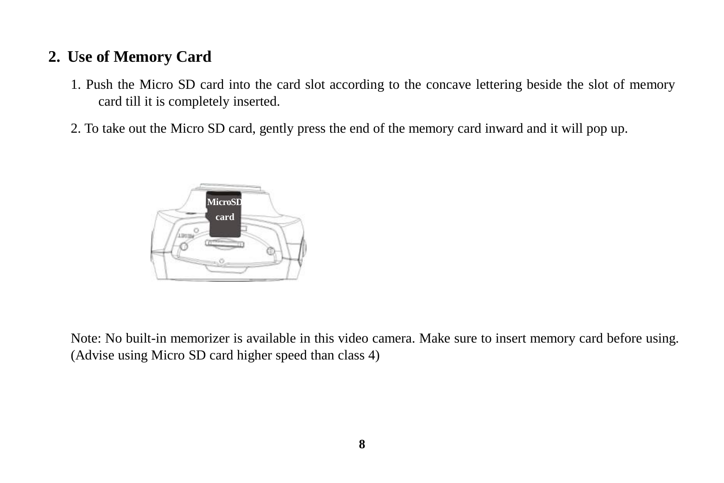### **2. Use of Memory Card**

- 1. Push the Micro SD card into the card slot according to the concave lettering beside the slot of memory card till it is completely inserted.
- 2. To take out the Micro SD card, gently press the end of the memory card inward and it will pop up.



Note: No built-in memorizer is available in this video camera. Make sure to insert memory card before using. (Advise using Micro SD card higher speed than class 4)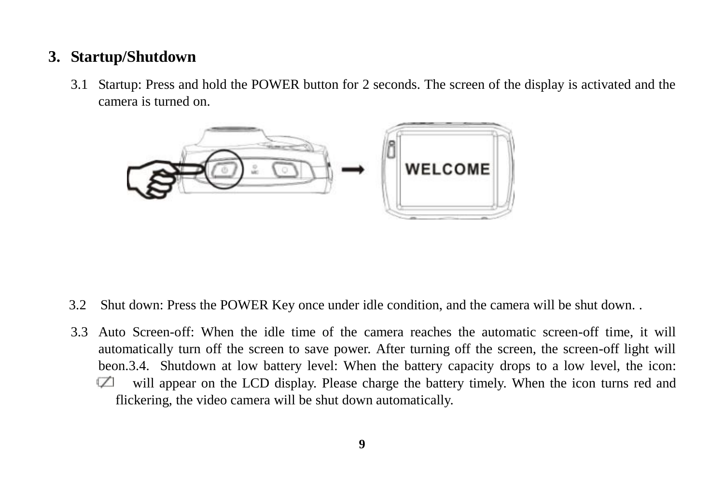#### **3. Startup/Shutdown**

3.1 Startup: Press and hold the POWER button for 2 seconds. The screen of the display is activated and the camera is turned on.



- 3.2 Shut down: Press the POWER Key once under idle condition, and the camera will be shut down. .
- 3.3 Auto Screen-off: When the idle time of the camera reaches the automatic screen-off time, it will automatically turn off the screen to save power. After turning off the screen, the screen-off light will beon.3.4. Shutdown at low battery level: When the battery capacity drops to a low level, the icon:  $\sqrt{2}$ will appear on the LCD display. Please charge the battery timely. When the icon turns red and flickering, the video camera will be shut down automatically.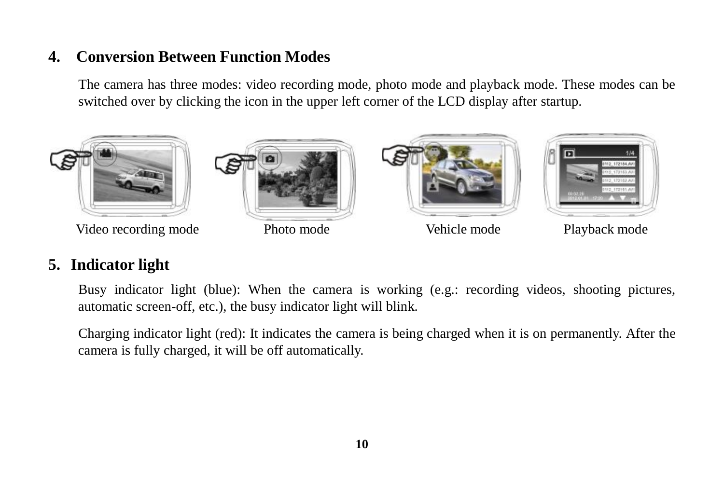#### **4. Conversion Between Function Modes**

The camera has three modes: video recording mode, photo mode and playback mode. These modes can be switched over by clicking the icon in the upper left corner of the LCD display after startup.



### **5. Indicator light**

Busy indicator light (blue): When the camera is working (e.g.: recording videos, shooting pictures, automatic screen-off, etc.), the busy indicator light will blink.

Charging indicator light (red): It indicates the camera is being charged when it is on permanently. After the camera is fully charged, it will be off automatically.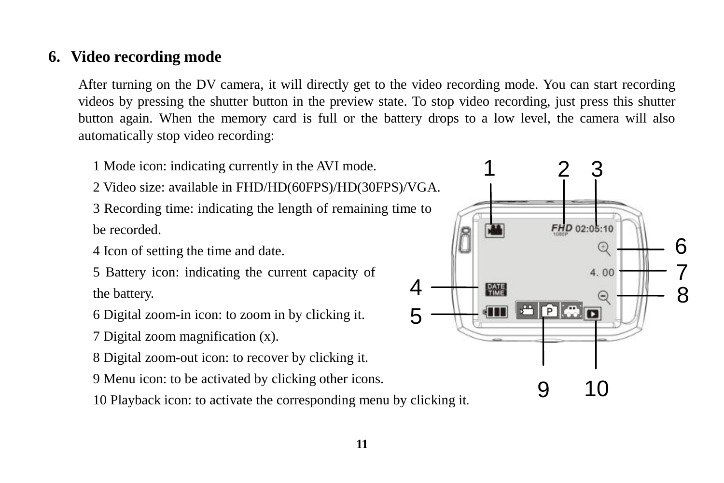#### **6. Video recording mode**

After turning on the DV camera, it will directly get to the video recording mode. You can start recording videos by pressing the shutter button in the preview state. To stop video recording, just press this shutter button again. When the memory card is full or the battery drops to a low level, the camera will also automatically stop video recording:

1 Mode icon: indicating currently in the AVI mode.

2 Video size: available in FHD/HD(60FPS)/HD(30FPS)/VGA.

3 Recording time: indicating the length of remaining time to be recorded.

4 Icon of setting the time and date.

5 Battery icon: indicating the current capacity of the battery.

6 Digital zoom-in icon: to zoom in by clicking it.

- 7 Digital zoom magnification (x).
- 8 Digital zoom-out icon: to recover by clicking it.
- 9 Menu icon: to be activated by clicking other icons.

10 Playback icon: to activate the corresponding menu by clicking it.

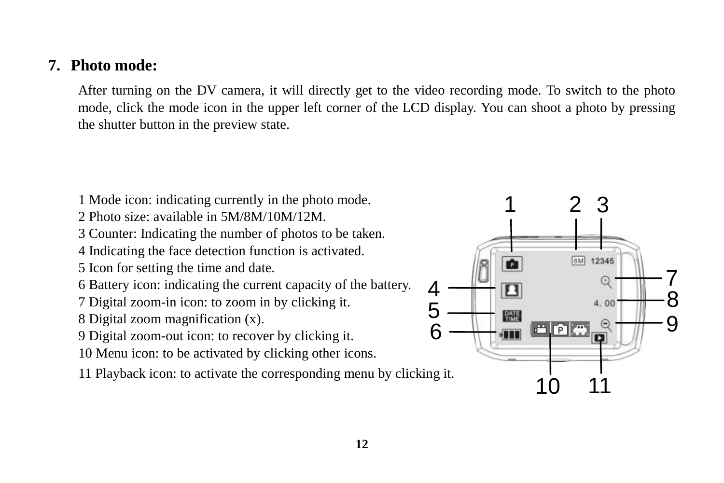#### **7. Photo mode:**

After turning on the DV camera, it will directly get to the video recording mode. To switch to the photo mode, click the mode icon in the upper left corner of the LCD display. You can shoot a photo by pressing the shutter button in the preview state.

- 1 Mode icon: indicating currently in the photo mode.
- 2 Photo size: available in 5M/8M/10M/12M.
- 3 Counter: Indicating the number of photos to be taken.
- 4 Indicating the face detection function is activated.
- 5 Icon for setting the time and date.
- 6 Battery icon: indicating the current capacity of the battery.
- 7 Digital zoom-in icon: to zoom in by clicking it.
- 8 Digital zoom magnification (x).
- 9 Digital zoom-out icon: to recover by clicking it.
- 10 Menu icon: to be activated by clicking other icons.
- 11 Playback icon: to activate the corresponding menu by clicking it.

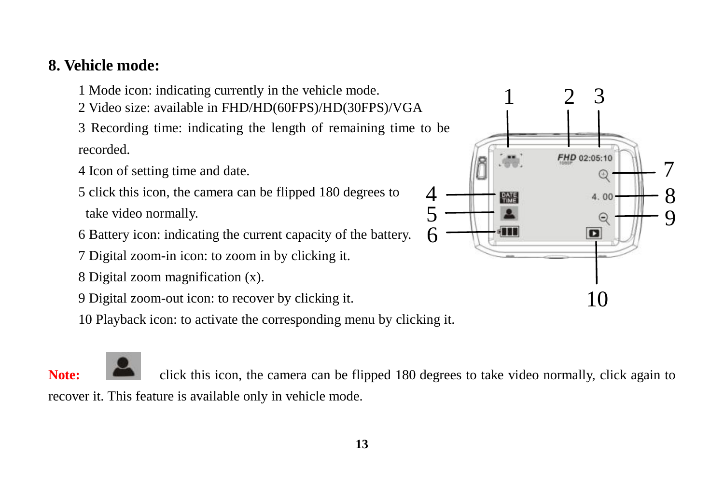### **8. Vehicle mode:**

1 Mode icon: indicating currently in the vehicle mode.

2 Video size: available in FHD/HD(60FPS)/HD(30FPS)/VGA

3 Recording time: indicating the length of remaining time to be recorded.

4 Icon of setting time and date.

5 click this icon, the camera can be flipped 180 degrees to take video normally.

6 Battery icon: indicating the current capacity of the battery.

7 Digital zoom-in icon: to zoom in by clicking it.

8 Digital zoom magnification (x).

9 Digital zoom-out icon: to recover by clicking it.

10 Playback icon: to activate the corresponding menu by clicking it.



**Note:** click this icon, the camera can be flipped 180 degrees to take video normally, click again to recover it. This feature is available only in vehicle mode.

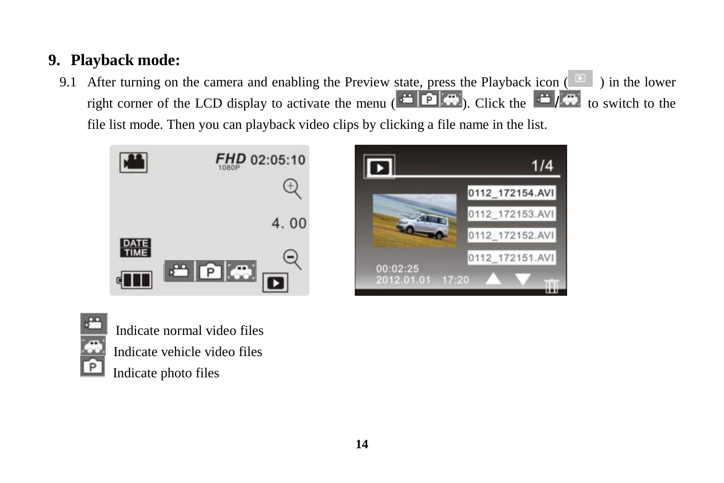## **9. Playback mode:**

9.1 After turning on the camera and enabling the Preview state, press the Playback icon  $\left( \begin{array}{c} \Box \end{array} \right)$  in the lower right corner of the LCD display to activate the menu  $\left($   $\frac{1}{2}$   $\left| \Omega \right|$   $\left| \Omega \right|$ . Click the  $\left| \frac{1}{2} \right|$  to switch to the file list mode. Then you can playback video clips by clicking a file name in the list.







Indicate normal video files Indicate vehicle video files Indicate photo files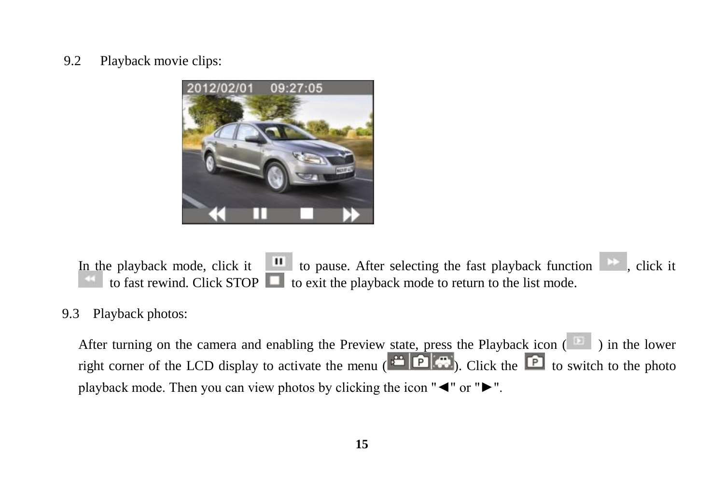9.2 Playback movie clips:



In the playback mode, click it  $\|\mathbf{u}\|$  to pause. After selecting the fast playback function  $\|\mathbf{v}\|$ , click it to fast rewind. Click STOP  $\Box$  to exit the playback mode to return to the list mode.

#### 9.3 Playback photos:

After turning on the camera and enabling the Preview state, press the Playback icon ( $\Box$ ) in the lower right corner of the LCD display to activate the menu  $\left( \begin{array}{c} \begin{array}{c} \begin{array}{c} \end{array} \\ \end{array} \right)$ . Click the  $\begin{array}{c} \begin{array} \end{array} \right)$  to switch to the photo playback mode. Then you can view photos by clicking the icon "◄" or "►".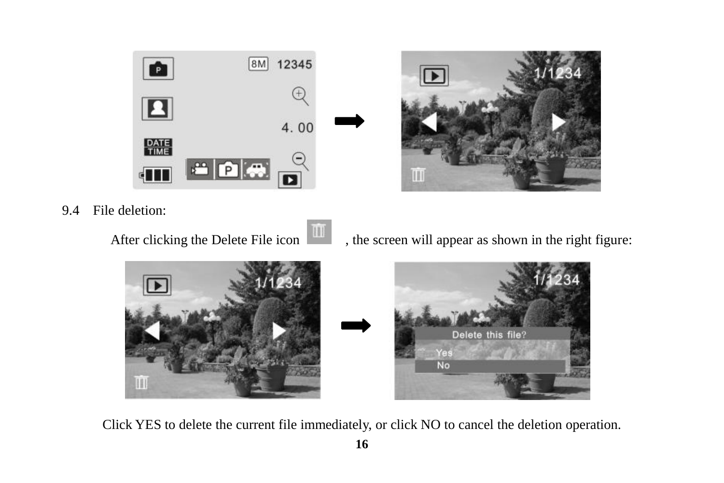



9.4 File deletion:

After clicking the Delete File icon  $\begin{array}{|c|c|}\hline \textbf{III} & \textbf{,} \textbf{,} \textbf{.} \end{array}$  , the screen will appear as shown in the right figure:



Click YES to delete the current file immediately, or click NO to cancel the deletion operation.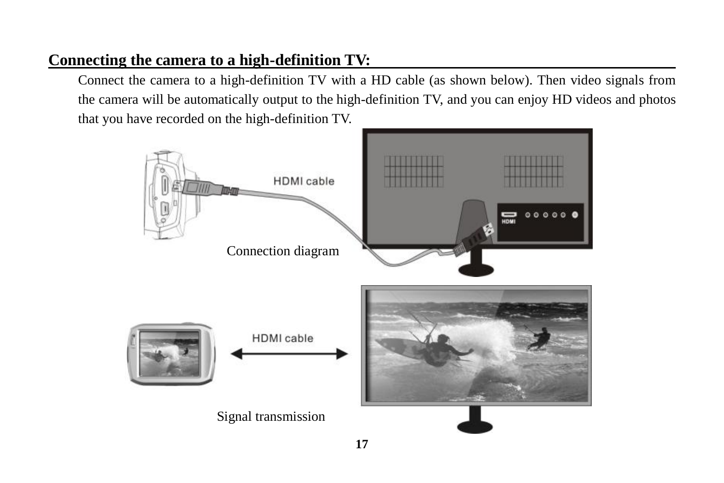## **Connecting the camera to a high-definition TV:**

Connect the camera to a high-definition TV with a HD cable (as shown below). Then video signals from the camera will be automatically output to the high-definition TV, and you can enjoy HD videos and photos that you have recorded on the high-definition TV.

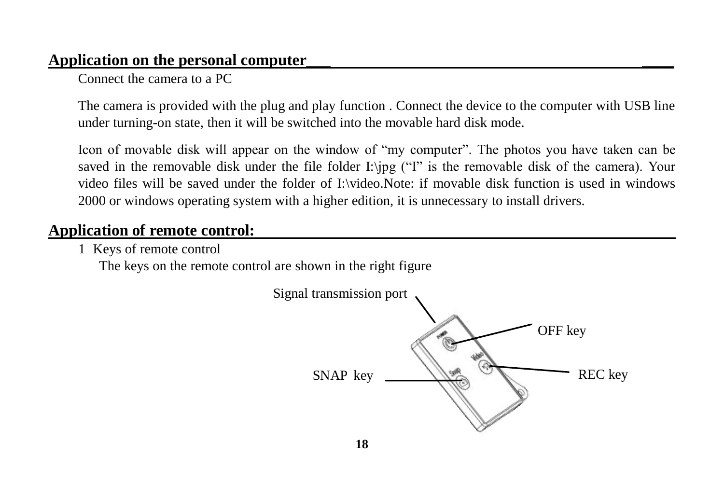#### **Application on the personal computer\_\_\_ \_\_\_\_**

Connect the camera to a PC

The camera is provided with the plug and play function . Connect the device to the computer with USB line under turning-on state, then it will be switched into the movable hard disk mode.

Icon of movable disk will appear on the window of "my computer". The photos you have taken can be saved in the removable disk under the file folder I:\jpg ("I" is the removable disk of the camera). Your video files will be saved under the folder of I:\video.Note: if movable disk function is used in windows 2000 or windows operating system with a higher edition, it is unnecessary to install drivers.

## **Application of remote control:**

1 Keys of remote control

The keys on the remote control are shown in the right figure

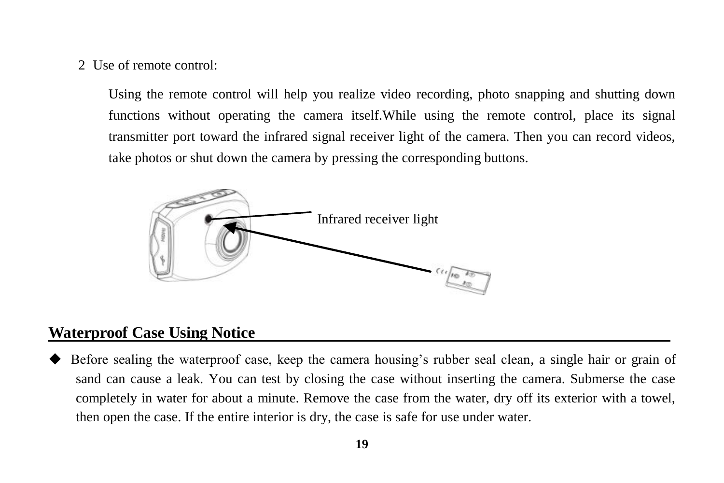2 Use of remote control:

Using the remote control will help you realize video recording, photo snapping and shutting down functions without operating the camera itself.While using the remote control, place its signal transmitter port toward the infrared signal receiver light of the camera. Then you can record videos, take photos or shut down the camera by pressing the corresponding buttons.



#### **Waterproof Case Using Notice**

 Before sealing the waterproof case, keep the camera housing's rubber seal clean, a single hair or grain of sand can cause a leak. You can test by closing the case without inserting the camera. Submerse the case completely in water for about a minute. Remove the case from the water, dry off its exterior with a towel, then open the case. If the entire interior is dry, the case is safe for use under water.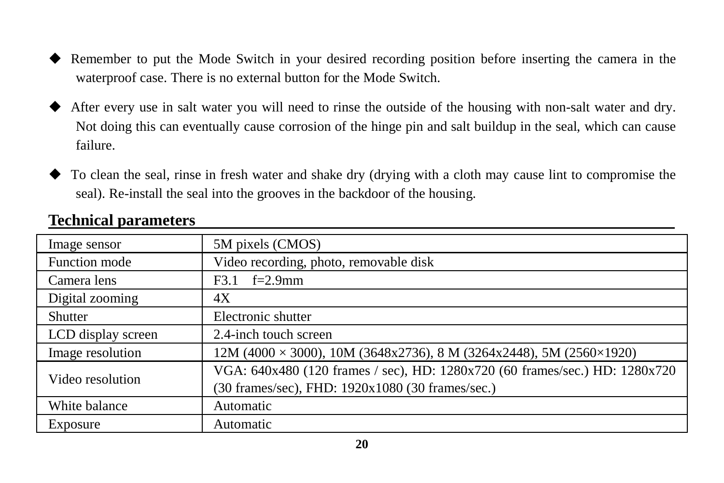- Remember to put the Mode Switch in your desired recording position before inserting the camera in the waterproof case. There is no external button for the Mode Switch.
- After every use in salt water you will need to rinse the outside of the housing with non-salt water and dry. Not doing this can eventually cause corrosion of the hinge pin and salt buildup in the seal, which can cause failure.
- To clean the seal, rinse in fresh water and shake dry (drying with a cloth may cause lint to compromise the seal). Re-install the seal into the grooves in the backdoor of the housing.

| Image sensor       | 5M pixels (CMOS)                                                               |  |
|--------------------|--------------------------------------------------------------------------------|--|
| Function mode      | Video recording, photo, removable disk                                         |  |
| Camera lens        | $f=2.9$ mm<br>F3.1                                                             |  |
| Digital zooming    | 4X                                                                             |  |
| Shutter            | Electronic shutter                                                             |  |
| LCD display screen | 2.4-inch touch screen                                                          |  |
| Image resolution   | $12M (4000 \times 3000)$ , $10M (3648x2736)$ , 8 M (3264x2448), 5M (2560×1920) |  |
| Video resolution   | VGA: 640x480 (120 frames / sec), HD: 1280x720 (60 frames/sec.) HD: 1280x720    |  |
|                    | (30 frames/sec), FHD: 1920x1080 (30 frames/sec.)                               |  |
| White balance      | Automatic                                                                      |  |
| Exposure           | Automatic                                                                      |  |

#### **Technical parameters**